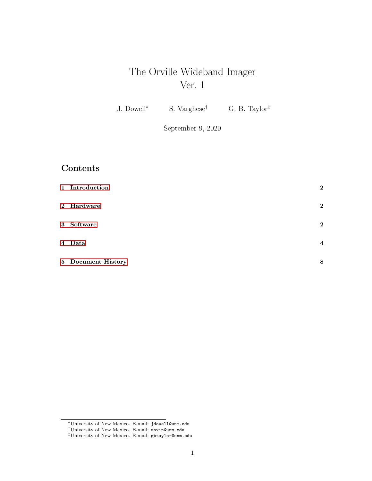# The Orville Wideband Imager Ver. 1

J. Dowell<sup>∗</sup> S. Varghese† G. B. Taylor‡

September 9, 2020

# Contents

| 1 Introduction     | $\boldsymbol{2}$        |
|--------------------|-------------------------|
| 2 Hardware         | $\mathbf{2}$            |
| 3 Software         | $\mathbf{2}$            |
| 4 Data             | $\overline{\mathbf{4}}$ |
| 5 Document History | 8                       |

<sup>∗</sup>University of New Mexico. E-mail: jdowell@unm.edu

<sup>†</sup>University of New Mexico. E-mail: savin@unm.edu

<sup>‡</sup>University of New Mexico. E-mail: gbtaylor@unm.edu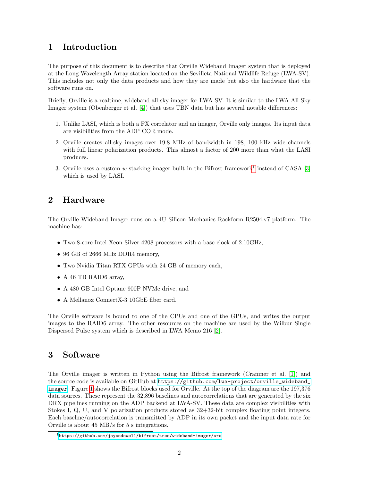### <span id="page-1-0"></span>1 Introduction

The purpose of this document is to describe that Orville Wideband Imager system that is deployed at the Long Wavelength Array station located on the Sevilleta National Wildlife Refuge (LWA-SV). This includes not only the data products and how they are made but also the hardware that the software runs on.

Briefly, Orville is a realtime, wideband all-sky imager for LWA-SV. It is similar to the LWA All-Sky Imager system (Obenberger et al. [\[4\]](#page-8-0)) that uses TBN data but has several notable differences:

- 1. Unlike LASI, which is both a FX correlator and an imager, Orville only images. Its input data are visibilities from the ADP COR mode.
- 2. Orville creates all-sky images over 19.8 MHz of bandwidth in 198, 100 kHz wide channels with full linear polarization products. This almost a factor of 200 more than what the LASI produces.
- 3. Orville uses a custom w-stacking imager built in the Bifrost framework<sup>[1](#page-1-3)</sup> instead of CASA [\[3\]](#page-8-1) which is used by LASI.

# <span id="page-1-1"></span>2 Hardware

The Orville Wideband Imager runs on a 4U Silicon Mechanics Rackform R2504.v7 platform. The machine has:

- Two 8-core Intel Xeon Silver 4208 processors with a base clock of 2.10GHz,
- 96 GB of 2666 MHz DDR4 memory,
- Two Nvidia Titan RTX GPUs with 24 GB of memory each,
- A 46 TB RAID6 array,
- A 480 GB Intel Optane 900P NVMe drive, and
- A Mellanox ConnectX-3 10GbE fiber card.

The Orville software is bound to one of the CPUs and one of the GPUs, and writes the output images to the RAID6 array. The other resources on the machine are used by the Wilbur Single Dispersed Pulse system which is described in LWA Memo 216 [\[2\]](#page-8-2).

## <span id="page-1-2"></span>3 Software

The Orville imager is written in Python using the Bifrost framework (Cranmer et al. [\[1\]](#page-8-3)) and the source code is available on GitHub at [https://github.com/lwa-project/orville\\_wideband\\_](https://github.com/lwa-project/orville_wideband_imager) [imager](https://github.com/lwa-project/orville_wideband_imager). Figure [1](#page-2-0) shows the Bifrost blocks used for Orville. At the top of the diagram are the 197,376 data sources. These represent the 32,896 baselines and autocorrelations that are generated by the six DRX pipelines running on the ADP backend at LWA-SV. These data are complex visibilities with Stokes I, Q, U, and V polarization products stored as 32+32-bit complex floating point integers. Each baseline/autocorrelation is transmitted by ADP in its own packet and the input data rate for Orville is about 45 MB/s for 5 s integrations.

<span id="page-1-3"></span> $1$ <https://github.com/jaycedowell/bifrost/tree/wideband-imager/src>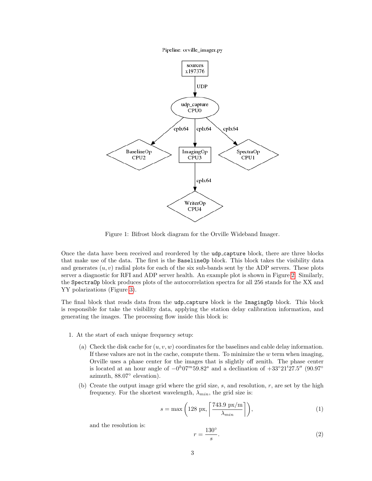Pipeline: orville\_imager.py



<span id="page-2-0"></span>Figure 1: Bifrost block diagram for the Orville Wideband Imager.

Once the data have been received and reordered by the udp<sub>capture</sub> block, there are three blocks that make use of the data. The first is the BaselineOp block. This block takes the visibility data and generates  $(u, v)$  radial plots for each of the six sub-bands sent by the ADP servers. These plots server a diagnostic for RFI and ADP server health. An example plot is shown in Figure [2.](#page-3-1) Similarly, the SpectraOp block produces plots of the autocorrelation spectra for all 256 stands for the XX and YY polarizations (Figure [3\)](#page-4-0).

The final block that reads data from the udp\_capture block is the ImagingOp block. This block is responsible for take the visibility data, applying the station delay calibration information, and generating the images. The processing flow inside this block is:

- 1. At the start of each unique frequency setup:
	- (a) Check the disk cache for  $(u, v, w)$  coordinates for the baselines and cable delay information. If these values are not in the cache, compute them. To minimize the  $w$  term when imaging, Orville uses a phase center for the images that is slightly off zenith. The phase center is located at an hour angle of  $-0<sup>h</sup>07<sup>m</sup>59.82<sup>s</sup>$  and a declination of  $+33°21'27.5''$  (90.97° azimuth, 88.07◦ elevation).
	- (b) Create the output image grid where the grid size,  $s$ , and resolution,  $r$ , are set by the high frequency. For the shortest wavelength,  $\lambda_{min}$ , the grid size is:

$$
s = \max\left(128 \text{ px}, \left\lceil \frac{743.9 \text{ px/m}}{\lambda_{min}} \right\rceil \right),\tag{1}
$$

and the resolution is:

$$
r = \frac{130^{\circ}}{s}.\tag{2}
$$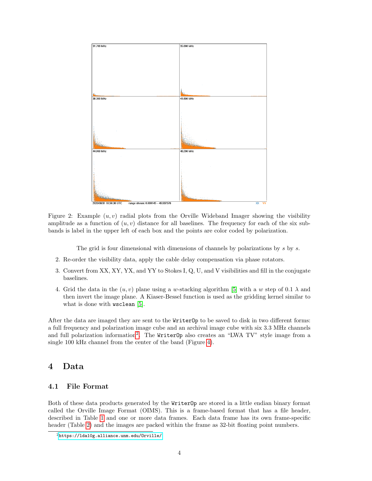

<span id="page-3-1"></span>Figure 2: Example  $(u, v)$  radial plots from the Orville Wideband Imager showing the visibility amplitude as a function of  $(u, v)$  distance for all baselines. The frequency for each of the six subbands is label in the upper left of each box and the points are color coded by polarization.

The grid is four dimensional with dimensions of channels by polarizations by s by s.

- 2. Re-order the visibility data, apply the cable delay compensation via phase rotators.
- 3. Convert from XX, XY, YX, and YY to Stokes I, Q, U, and V visibilities and fill in the conjugate baselines.
- 4. Grid the data in the  $(u, v)$  plane using a w-stacking algorithm [\[5\]](#page-8-4) with a w step of 0.1  $\lambda$  and then invert the image plane. A Kiaser-Bessel function is used as the gridding kernel similar to what is done with **wsclean** [\[5\]](#page-8-4).

After the data are imaged they are sent to the WriterOp to be saved to disk in two different forms: a full frequency and polarization image cube and an archival image cube with six 3.3 MHz channels and full polarization information<sup>[2](#page-3-2)</sup>. The WriterOp also creates an "LWA TV" style image from a single 100 kHz channel from the center of the band (Figure [4\)](#page-4-1).

### <span id="page-3-0"></span>4 Data

#### 4.1 File Format

Both of these data products generated by the WriterOp are stored in a little endian binary format called the Orville Image Format (OIMS). This is a frame-based format that has a file header, described in Table [1](#page-5-0) and one or more data frames. Each data frame has its own frame-specific header (Table [2\)](#page-5-1) and the images are packed within the frame as 32-bit floating point numbers.

<span id="page-3-2"></span> $2$ <https://lda10g.alliance.unm.edu/Orville/>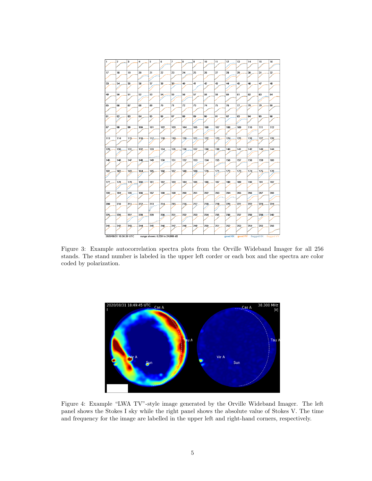

<span id="page-4-0"></span>Figure 3: Example autocorrelation spectra plots from the Orville Wideband Imager for all 256 stands. The stand number is labeled in the upper left corder or each box and the spectra are color coded by polarization.



<span id="page-4-1"></span>Figure 4: Example "LWA TV"-style image generated by the Orville Wideband Imager. The left panel shows the Stokes I sky while the right panel shows the absolute value of Stokes V. The time and frequency for the image are labelled in the upper left and right-hand corners, respectively.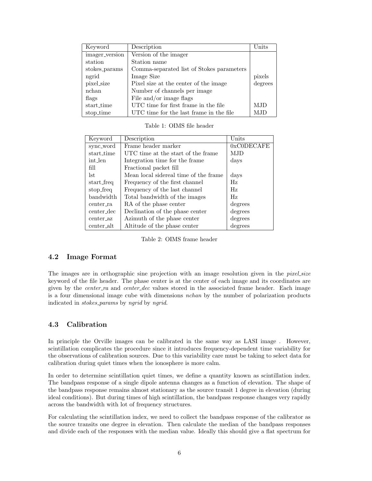| Keyword        | Description                               | Units   |
|----------------|-------------------------------------------|---------|
| imager_version | Version of the imager                     |         |
| station        | Station name                              |         |
| stokes_params  | Comma-separated list of Stokes parameters |         |
| ngrid          | Image Size                                | pixels  |
| pixel_size     | Pixel size at the center of the image     | degrees |
| nchan          | Number of channels per image              |         |
| flags          | File and/or image flags                   |         |
| start_time     | UTC time for first frame in the file      | MJD     |
| stop_time      | UTC time for the last frame in the file   | MJD     |

<span id="page-5-0"></span>Table 1: OIMS file header

| Keyword    | Description                           | Units      |
|------------|---------------------------------------|------------|
| sync_word  | Frame header marker                   | 0xC0DECAFE |
| start_time | UTC time at the start of the frame    | MJD        |
| int_len    | Integration time for the frame.       | days       |
| fill       | Fractional packet fill                |            |
| lst.       | Mean local sidereal time of the frame | days       |
| start_freq | Frequency of the first channel        | Hz         |
| stop_freq  | Frequency of the last channel         | Hz         |
| bandwidth  | Total bandwidth of the images         | Hz         |
| center_ra  | RA of the phase center                | degrees    |
| center_dec | Declination of the phase center       | degrees    |
| center_az  | Azimuth of the phase center           | degrees    |
| center_alt | Altitude of the phase center          | degrees    |

<span id="page-5-1"></span>Table 2: OIMS frame header

#### 4.2 Image Format

The images are in orthographic sine projection with an image resolution given in the *pixel size* keyword of the file header. The phase center is at the center of each image and its coordinates are given by the *center\_ra* and *center\_dec* values stored in the associated frame header. Each image is a four dimensional image cube with dimensions nchan by the number of polarization products indicated in *stokes\_params* by *ngrid* by *ngrid*.

#### 4.3 Calibration

In principle the Orville images can be calibrated in the same way as LASI image . However, scintillation complicates the procedure since it introduces frequency-dependent time variability for the observations of calibration sources. Due to this variability care must be taking to select data for calibration during quiet times when the ionosphere is more calm.

In order to determine scintillation quiet times, we define a quantity known as scintillation index. The bandpass response of a single dipole antenna changes as a function of elevation. The shape of the bandpass response remains almost stationary as the source transit 1 degree in elevation (during ideal conditions). But during times of high scintillation, the bandpass response changes very rapidly across the bandwidth with lot of frequency structures.

For calculating the scintillation index, we need to collect the bandpass response of the calibrator as the source transits one degree in elevation. Then calculate the median of the bandpass responses and divide each of the responses with the median value. Ideally this should give a flat spectrum for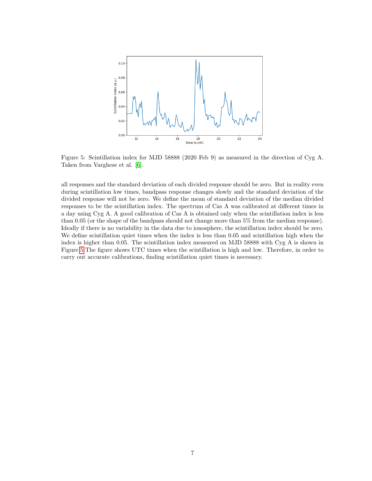

<span id="page-6-0"></span>Figure 5: Scintillation index for MJD 58888 (2020 Feb 9) as measured in the direction of Cyg A. Taken from Varghese et al. [\[6\]](#page-8-5).

all responses and the standard deviation of each divided response should be zero. But in reality even during scintillation low times, bandpass response changes slowly and the standard deviation of the divided response will not be zero. We define the mean of standard deviation of the median divided responses to be the scintillation index. The spectrum of Cas A was calibrated at different times in a day using Cyg A. A good calibration of Cas A is obtained only when the scintillation index is less than 0.05 (or the shape of the bandpass should not change more than 5% from the median response). Ideally if there is no variability in the data due to ionosphere, the scintillation index should be zero. We define scintillation quiet times when the index is less than 0.05 and scintillation high when the index is higher than 0.05. The scintillation index measured on MJD 58888 with Cyg A is shown in Figure [5](#page-6-0) The figure shows UTC times when the scintillation is high and low. Therefore, in order to carry out accurate calibrations, finding scintillation quiet times is necessary.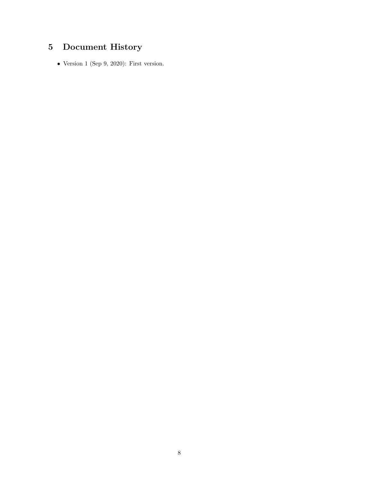# <span id="page-7-0"></span>5 Document History

• Version 1 (Sep 9, 2020): First version.